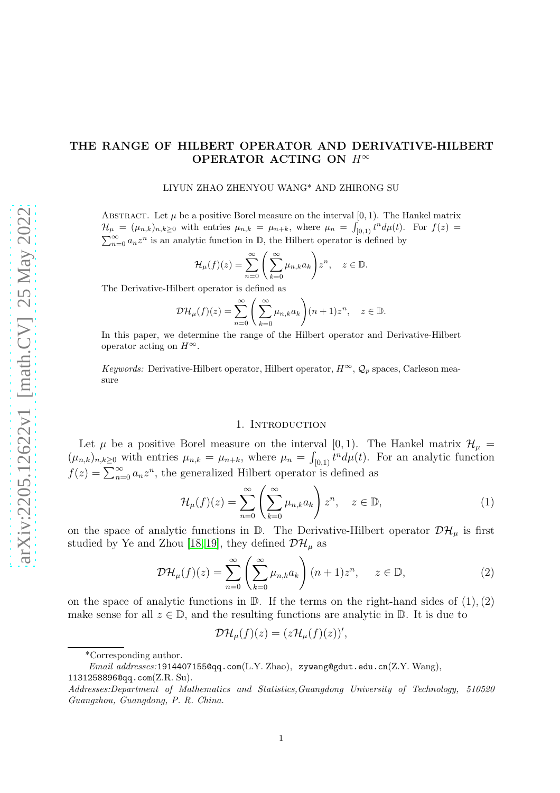# THE RANGE OF HILBERT OPERATOR AND DERIVATIVE-HILBERT OPERATOR ACTING ON  $H^{\infty}$

#### LIYUN ZHAO ZHENYOU WANG\* AND ZHIRONG SU

ABSTRACT. Let  $\mu$  be a positive Borel measure on the interval [0, 1]. The Hankel matrix  $\mathcal{H}_{\mu} = (\mu_{n,k})_{n,k \geq 0}$  with entries  $\mu_{n,k} = \mu_{n+k}$ , where  $\mu_n = \int_{[0,1)} t^n d\mu(t)$ . For  $f(z) =$  $\sum_{n=0}^{\infty} a_n z^n$  is an analytic function in  $\mathbb{D}$ , the Hilbert operator is defined by

$$
\mathcal{H}_{\mu}(f)(z) = \sum_{n=0}^{\infty} \left( \sum_{k=0}^{\infty} \mu_{n,k} a_k \right) z^n, \quad z \in \mathbb{D}.
$$

The Derivative-Hilbert operator is defined as

$$
\mathcal{DH}_{\mu}(f)(z) = \sum_{n=0}^{\infty} \left( \sum_{k=0}^{\infty} \mu_{n,k} a_k \right) (n+1) z^n, \quad z \in \mathbb{D}.
$$

In this paper, we determine the range of the Hilbert operator and Derivative-Hilbert operator acting on  $H^{\infty}$ .

*Keywords:* Derivative-Hilbert operator, Hilbert operator,  $H^{\infty}$ ,  $\mathcal{Q}_p$  spaces, Carleson measure

### 1. INTRODUCTION

Let  $\mu$  be a positive Borel measure on the interval [0, 1). The Hankel matrix  $\mathcal{H}_{\mu}$  =  $(\mu_{n,k})_{n,k\geq 0}$  with entries  $\mu_{n,k} = \mu_{n+k}$ , where  $\mu_n = \int_{[0,1]} t^n d\mu(t)$ . For an analytic function  $f(z) = \sum_{n=0}^{\infty} a_n z^n$ , the generalized Hilbert operator is defined as

$$
\mathcal{H}_{\mu}(f)(z) = \sum_{n=0}^{\infty} \left( \sum_{k=0}^{\infty} \mu_{n,k} a_k \right) z^n, \quad z \in \mathbb{D}, \tag{1}
$$

on the space of analytic functions in  $\mathbb D$ . The Derivative-Hilbert operator  $\mathcal{DH}_\mu$  is first studied by Ye and Zhou [\[18,](#page-9-0) [19\]](#page-9-1), they defined  $\mathcal{DH}_\mu$  as

$$
\mathcal{DH}_{\mu}(f)(z) = \sum_{n=0}^{\infty} \left( \sum_{k=0}^{\infty} \mu_{n,k} a_k \right) (n+1) z^n, \quad z \in \mathbb{D}, \tag{2}
$$

on the space of analytic functions in  $\mathbb D$ . If the terms on the right-hand sides of  $(1), (2)$ make sense for all  $z \in \mathbb{D}$ , and the resulting functions are analytic in  $\mathbb{D}$ . It is due to

$$
\mathcal{DH}_{\mu}(f)(z)=(z\mathcal{H}_{\mu}(f)(z))',
$$

<sup>\*</sup>Corresponding author.

*Email addresses:*1914407155@qq.com(L.Y. Zhao), zywang@gdut.edu.cn(Z.Y. Wang), 1131258896@qq.com(Z.R. Su).

*Addresses:Department of Mathematics and Statistics,Guangdong University of Technology, 510520 Guangzhou, Guangdong, P. R. China.*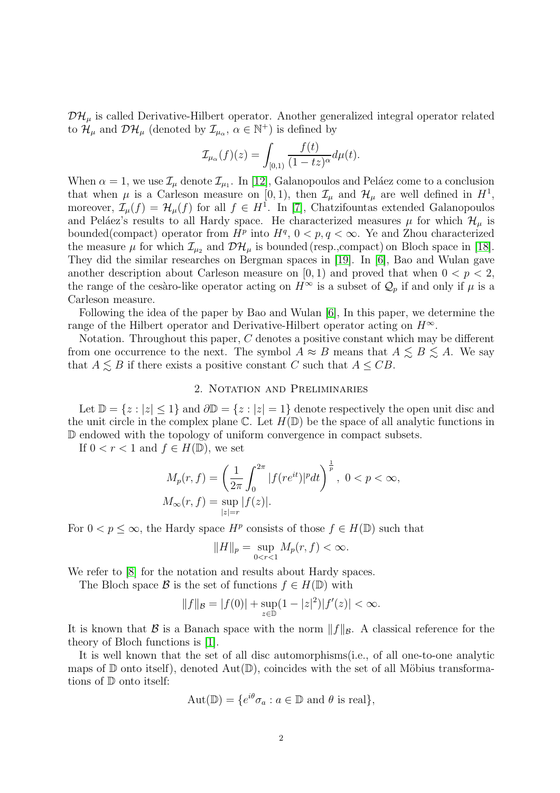$\mathcal{DH}_\mu$  is called Derivative-Hilbert operator. Another generalized integral operator related to  $\mathcal{H}_{\mu}$  and  $\mathcal{DH}_{\mu}$  (denoted by  $\mathcal{I}_{\mu_{\alpha}}, \alpha \in \mathbb{N}^{+}$ ) is defined by

$$
\mathcal{I}_{\mu_{\alpha}}(f)(z) = \int_{[0,1)} \frac{f(t)}{(1-tz)^{\alpha}} d\mu(t).
$$

When  $\alpha = 1$ , we use  $\mathcal{I}_{\mu}$  denote  $\mathcal{I}_{\mu_1}$ . In [\[12\]](#page-9-2), Galanopoulos and Peláez come to a conclusion that when  $\mu$  is a Carleson measure on [0, 1), then  $\mathcal{I}_{\mu}$  and  $\mathcal{H}_{\mu}$  are well defined in  $H^1$ , moreover,  $\mathcal{I}_{\mu}(f) = \mathcal{H}_{\mu}(f)$  for all  $f \in H^1$ . In [\[7\]](#page-8-0), Chatzifountas extended Galanopoulos and Peláez's results to all Hardy space. He characterized measures  $\mu$  for which  $\mathcal{H}_{\mu}$  is bounded(compact) operator from  $H^p$  into  $H^q$ ,  $0 < p, q < \infty$ . Ye and Zhou characterized the measure  $\mu$  for which  $\mathcal{I}_{\mu_2}$  and  $\mathcal{DH}_{\mu}$  is bounded (resp., compact) on Bloch space in [\[18\]](#page-9-0). They did the similar researches on Bergman spaces in [\[19\]](#page-9-1). In [\[6\]](#page-8-1), Bao and Wulan gave another description about Carleson measure on  $[0, 1)$  and proved that when  $0 < p < 2$ , the range of the cesàro-like operator acting on  $H^{\infty}$  is a subset of  $\mathcal{Q}_p$  if and only if  $\mu$  is a Carleson measure.

Following the idea of the paper by Bao and Wulan [\[6\]](#page-8-1), In this paper, we determine the range of the Hilbert operator and Derivative-Hilbert operator acting on  $H^{\infty}$ .

Notation. Throughout this paper, C denotes a positive constant which may be different from one occurrence to the next. The symbol  $A \approx B$  means that  $A \leq B \leq A$ . We say that  $A \leq B$  if there exists a positive constant C such that  $A \leq CB$ .

## 2. Notation and Preliminaries

Let  $\mathbb{D} = \{z : |z| \leq 1\}$  and  $\partial \mathbb{D} = \{z : |z| = 1\}$  denote respectively the open unit disc and the unit circle in the complex plane  $\mathbb C$ . Let  $H(\mathbb D)$  be the space of all analytic functions in D endowed with the topology of uniform convergence in compact subsets.

If  $0 < r < 1$  and  $f \in H(\mathbb{D})$ , we set

$$
M_p(r, f) = \left(\frac{1}{2\pi} \int_0^{2\pi} |f(re^{it})|^p dt\right)^{\frac{1}{p}}, \ 0 < p < \infty, \\
M_\infty(r, f) = \sup_{|z|=r} |f(z)|.
$$

For  $0 < p \leq \infty$ , the Hardy space  $H^p$  consists of those  $f \in H(\mathbb{D})$  such that

$$
||H||_p = \sup_{0 < r < 1} M_p(r, f) < \infty.
$$

We refer to  $[8]$  for the notation and results about Hardy spaces.

The Bloch space B is the set of functions  $f \in H(\mathbb{D})$  with

$$
||f||_{\mathcal{B}} = |f(0)| + \sup_{z \in \mathbb{D}} (1 - |z|^2)|f'(z)| < \infty.
$$

It is known that B is a Banach space with the norm  $||f||_{\mathcal{B}}$ . A classical reference for the theory of Bloch functions is [\[1\]](#page-8-3).

It is well known that the set of all disc automorphisms(i.e., of all one-to-one analytic maps of  $\mathbb D$  onto itself), denoted Aut $(\mathbb D)$ , coincides with the set of all Möbius transformations of  $\mathbb D$  onto itself:

$$
Aut(\mathbb{D}) = \{e^{i\theta}\sigma_a : a \in \mathbb{D} \text{ and } \theta \text{ is real}\},\
$$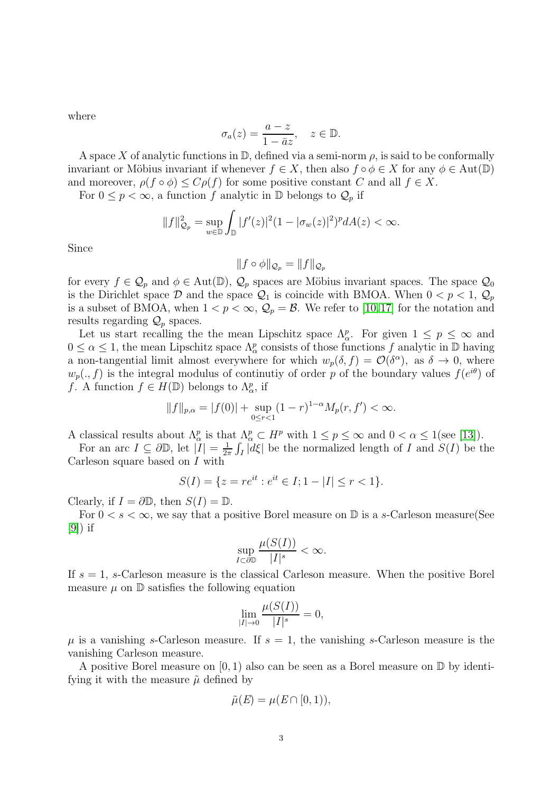where

$$
\sigma_a(z) = \frac{a-z}{1-\bar{a}z}, \quad z \in \mathbb{D}.
$$

A space X of analytic functions in  $\mathbb{D}$ , defined via a semi-norm  $\rho$ , is said to be conformally invariant or Möbius invariant if whenever  $f \in X$ , then also  $f \circ \phi \in X$  for any  $\phi \in \text{Aut}(\mathbb{D})$ and moreover,  $\rho(f \circ \phi) \leq C \rho(f)$  for some positive constant C and all  $f \in X$ .

For  $0 \leq p < \infty$ , a function f analytic in  $\mathbb D$  belongs to  $\mathcal Q_p$  if

$$
||f||_{\mathcal{Q}_p}^2 = \sup_{w \in \mathbb{D}} \int_{\mathbb{D}} |f'(z)|^2 (1 - |\sigma_w(z)|^2)^p dA(z) < \infty.
$$

Since

$$
||f \circ \phi||_{\mathcal{Q}_p} = ||f||_{\mathcal{Q}_p}
$$

for every  $f \in \mathcal{Q}_p$  and  $\phi \in \text{Aut}(\mathbb{D})$ ,  $\mathcal{Q}_p$  spaces are Möbius invariant spaces. The space  $\mathcal{Q}_0$ is the Dirichlet space  $\mathcal{D}$  and the space  $\mathcal{Q}_1$  is coincide with BMOA. When  $0 < p < 1$ ,  $\mathcal{Q}_p$ is a subset of BMOA, when  $1 < p < \infty$ ,  $\mathcal{Q}_p = \mathcal{B}$ . We refer to [\[10,](#page-9-3)[17\]](#page-9-4) for the notation and results regarding  $\mathcal{Q}_p$  spaces.

Let us start recalling the the mean Lipschitz space  $\Lambda_{\alpha}^p$ . For given  $1 \leq p \leq \infty$  and  $0 \leq \alpha \leq 1$ , the mean Lipschitz space  $\Lambda^p_\alpha$  consists of those functions f analytic in  $\mathbb D$  having a non-tangential limit almost everywhere for which  $w_p(\delta, f) = \mathcal{O}(\delta^{\alpha})$ , as  $\delta \to 0$ , where  $w_p(., f)$  is the integral modulus of continutiy of order p of the boundary values  $f(e^{i\theta})$  of f. A function  $f \in H(\mathbb{D})$  belongs to  $\Lambda_{\alpha}^p$ , if

$$
||f||_{p,\alpha} = |f(0)| + \sup_{0 \le r < 1} (1 - r)^{1 - \alpha} M_p(r, f') < \infty.
$$

A classical results about  $\Lambda^p_\alpha$  is that  $\Lambda^p_\alpha \subset H^p$  with  $1 \leq p \leq \infty$  and  $0 < \alpha \leq 1$  (see [\[13\]](#page-9-5)).

For an arc  $I \subseteq \partial \mathbb{D}$ , let  $|\tilde{I}| = \frac{1}{2i}$  $\frac{1}{2\pi} \int_I |d\xi|$  be the normalized length of I and  $S(I)$  be the Carleson square based on I with

$$
S(I) = \{ z = re^{it} : e^{it} \in I; 1 - |I| \le r < 1 \}.
$$

Clearly, if  $I = \partial \mathbb{D}$ , then  $S(I) = \mathbb{D}$ .

For  $0 < s < \infty$ , we say that a positive Borel measure on D is a s-Carleson measure (See  $|9|)$  if

$$
\sup_{I\subset\partial\mathbb{D}}\frac{\mu(S(I))}{|I|^s}<\infty.
$$

If  $s = 1$ , s-Carleson measure is the classical Carleson measure. When the positive Borel measure  $\mu$  on  $\mathbb D$  satisfies the following equation

$$
\lim_{|I| \to 0} \frac{\mu(S(I))}{|I|^s} = 0,
$$

 $\mu$  is a vanishing s-Carleson measure. If  $s = 1$ , the vanishing s-Carleson measure is the vanishing Carleson measure.

A positive Borel measure on  $[0, 1)$  also can be seen as a Borel measure on  $\mathbb D$  by identifying it with the measure  $\tilde{\mu}$  defined by

$$
\tilde{\mu}(E) = \mu(E \cap [0,1)),
$$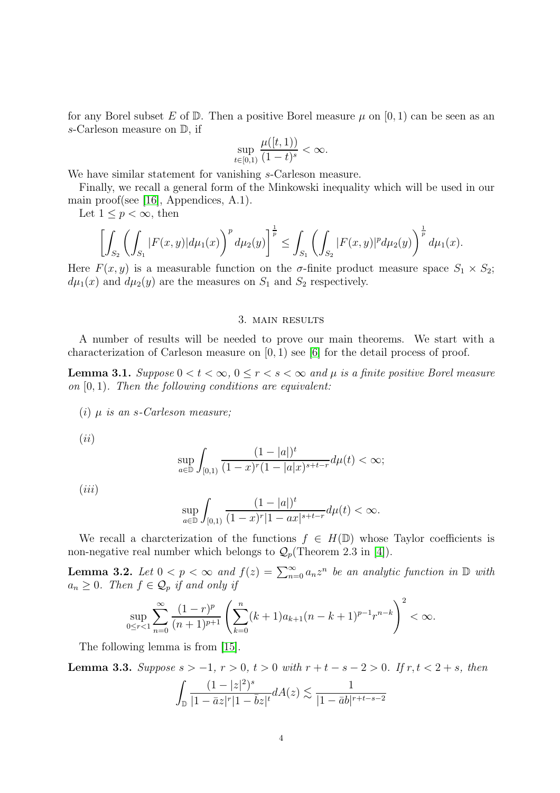for any Borel subset E of  $\mathbb D$ . Then a positive Borel measure  $\mu$  on  $[0,1)$  can be seen as an s-Carleson measure on D, if

$$
\sup_{t \in [0,1)} \frac{\mu([t,1))}{(1-t)^s} < \infty.
$$

We have similar statement for vanishing s-Carleson measure.

Finally, we recall a general form of the Minkowski inequality which will be used in our main proof(see [\[16\]](#page-9-7), Appendices, A.1).

Let  $1 \leq p \leq \infty$ , then

$$
\left[\int_{S_2}\left(\int_{S_1}|F(x,y)|d\mu_1(x)\right)^pd\mu_2(y)\right]^{\frac{1}{p}} \leq \int_{S_1}\left(\int_{S_2}|F(x,y)|^pd\mu_2(y)\right)^{\frac{1}{p}}d\mu_1(x).
$$

Here  $F(x, y)$  is a measurable function on the  $\sigma$ -finite product measure space  $S_1 \times S_2$ ;  $d\mu_1(x)$  and  $d\mu_2(y)$  are the measures on  $S_1$  and  $S_2$  respectively.

## 3. main results

A number of results will be needed to prove our main theorems. We start with a characterization of Carleson measure on  $[0, 1)$  see  $[6]$  for the detail process of proof.

**Lemma 3.1.** Suppose  $0 < t < \infty$ ,  $0 \le r < s < \infty$  and  $\mu$  is a finite positive Borel measure on  $[0, 1)$ . Then the following conditions are equivalent:

(i)  $\mu$  is an s-Carleson measure;

 $(ii)$ 

$$
\sup_{a \in \mathbb{D}} \int_{[0,1)} \frac{(1-|a|)^t}{(1-x)^r (1-|a|x)^{s+t-r}} d\mu(t) < \infty;
$$

 $(iii)$ 

$$
\sup_{a\in \mathbb{D}} \int_{[0,1)} \frac{(1-|a|)^t}{(1-x)^r|1-ax|^{s+t-r}}d\mu(t) < \infty.
$$

We recall a charcterization of the functions  $f \in H(\mathbb{D})$  whose Taylor coefficients is non-negative real number which belongs to  $\mathcal{Q}_p$  (Theorem 2.3 in [\[4\]](#page-8-4)).

**Lemma 3.2.** Let  $0 < p < \infty$  and  $f(z) = \sum_{n=0}^{\infty} a_n z^n$  be an analytic function in  $\mathbb{D}$  with  $a_n \geq 0$ . Then  $f \in \mathcal{Q}_p$  if and only if

$$
\sup_{0 \le r < 1} \sum_{n=0}^{\infty} \frac{(1-r)^p}{(n+1)^{p+1}} \left( \sum_{k=0}^n (k+1)a_{k+1}(n-k+1)^{p-1} r^{n-k} \right)^2 < \infty.
$$

The following lemma is from [\[15\]](#page-9-8).

**Lemma 3.3.** Suppose  $s > −1$ ,  $r > 0$ ,  $t > 0$  with  $r + t - s - 2 > 0$ . If  $r, t < 2 + s$ , then

$$
\int_{\mathbb{D}} \frac{(1-|z|^2)^s}{|1-\bar{a}z|^r|1-\bar{b}z|^t} dA(z) \lesssim \frac{1}{|1-\bar{a}b|^{r+t-s-2}}
$$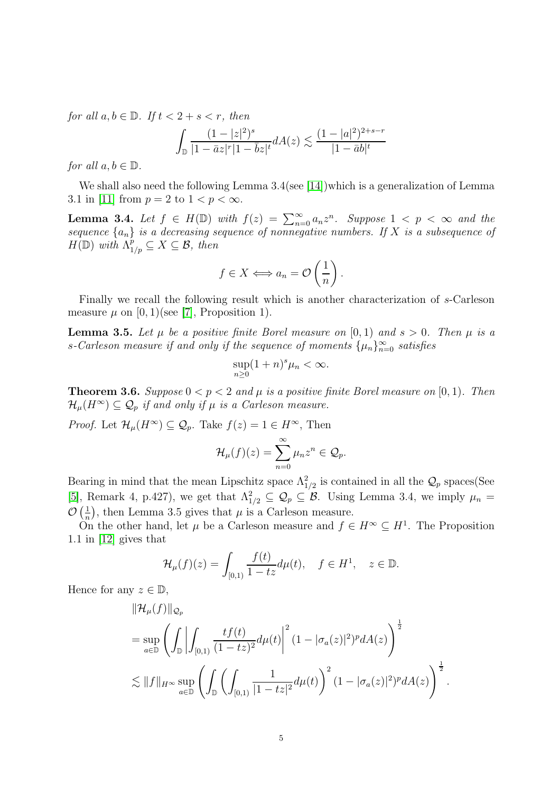for all  $a, b \in \mathbb{D}$ . If  $t < 2 + s < r$ , then

$$
\int_{\mathbb{D}} \frac{(1-|z|^2)^s}{|1-\bar{a}z|^r|1-\bar{b}z|^t} dA(z) \lesssim \frac{(1-|a|^2)^{2+s-r}}{|1-\bar{a}b|^t}
$$

for all  $a, b \in \mathbb{D}$ .

We shall also need the following Lemma  $3.4$  (see [\[14\]](#page-9-9))which is a generalization of Lemma 3.1 in [\[11\]](#page-9-10) from  $p = 2$  to  $1 < p < \infty$ .

**Lemma 3.4.** Let  $f \in H(\mathbb{D})$  with  $f(z) = \sum_{n=0}^{\infty} a_n z^n$ . Suppose  $1 < p < \infty$  and the sequence  $\{a_n\}$  is a decreasing sequence of nonnegative numbers. If X is a subsequence of  $H(\mathbb{D})$  with  $\Lambda^p_{1/p} \subseteq X \subseteq \mathcal{B}$ , then

$$
f \in X \Longleftrightarrow a_n = \mathcal{O}\left(\frac{1}{n}\right).
$$

Finally we recall the following result which is another characterization of s-Carleson measure  $\mu$  on [0, 1)(see [\[7\]](#page-8-0), Proposition 1).

**Lemma 3.5.** Let  $\mu$  be a positive finite Borel measure on [0, 1) and  $s > 0$ . Then  $\mu$  is a s-Carleson measure if and only if the sequence of moments  $\{\mu_n\}_{n=0}^{\infty}$  satisfies

$$
\sup_{n\geq 0} (1+n)^s \mu_n < \infty.
$$

**Theorem 3.6.** Suppose  $0 < p < 2$  and  $\mu$  is a positive finite Borel measure on [0, 1]. Then  $\mathcal{H}_{\mu}(H^{\infty}) \subseteq \mathcal{Q}_p$  if and only if  $\mu$  is a Carleson measure.

*Proof.* Let  $\mathcal{H}_{\mu}(H^{\infty}) \subseteq \mathcal{Q}_p$ . Take  $f(z) = 1 \in H^{\infty}$ , Then

$$
\mathcal{H}_{\mu}(f)(z) = \sum_{n=0}^{\infty} \mu_n z^n \in \mathcal{Q}_p.
$$

Bearing in mind that the mean Lipschitz space  $\Lambda_{1/2}^2$  is contained in all the  $\mathcal{Q}_p$  spaces(See [\[5\]](#page-8-5), Remark 4, p.427), we get that  $\Lambda_{1/2}^2 \subseteq \mathcal{Q}_p \subseteq \mathcal{B}$ . Using Lemma 3.4, we imply  $\mu_n =$  $\mathcal{O}\left(\frac{1}{n}\right)$  $\frac{1}{n}$ , then Lemma 3.5 gives that  $\mu$  is a Carleson measure.

On the other hand, let  $\mu$  be a Carleson measure and  $f \in H^{\infty} \subseteq H^{1}$ . The Proposition 1.1 in [\[12\]](#page-9-2) gives that

$$
\mathcal{H}_{\mu}(f)(z) = \int_{[0,1)} \frac{f(t)}{1-tz} d\mu(t), \quad f \in H^1, \quad z \in \mathbb{D}.
$$

Hence for any  $z \in \mathbb{D}$ ,

$$
\|\mathcal{H}_{\mu}(f)\|_{\mathcal{Q}_p}
$$
\n
$$
= \sup_{a \in \mathbb{D}} \left( \int_{\mathbb{D}} \left| \int_{[0,1)} \frac{tf(t)}{(1-tz)^2} d\mu(t) \right|^2 (1 - |\sigma_a(z)|^2)^p dA(z) \right)^{\frac{1}{2}}
$$
\n
$$
\lesssim \|f\|_{H^\infty} \sup_{a \in \mathbb{D}} \left( \int_{\mathbb{D}} \left( \int_{[0,1)} \frac{1}{|1-tz|^2} d\mu(t) \right)^2 (1 - |\sigma_a(z)|^2)^p dA(z) \right)^{\frac{1}{2}}.
$$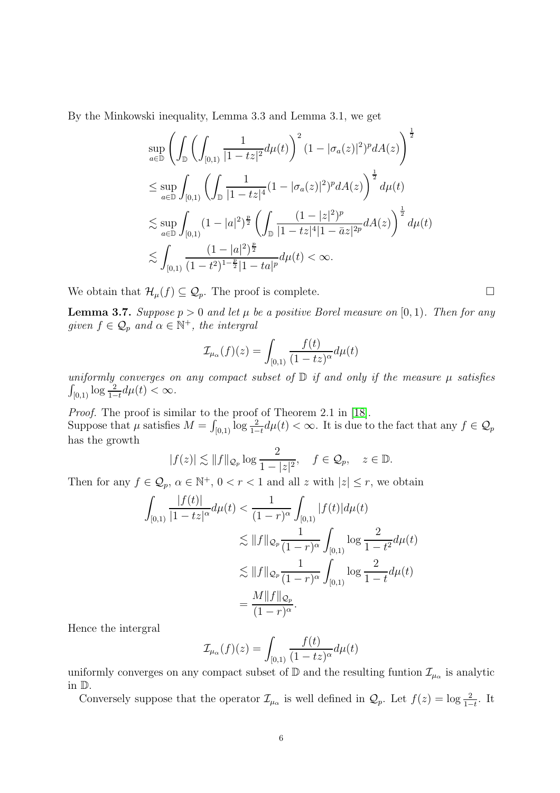By the Minkowski inequality, Lemma 3.3 and Lemma 3.1, we get

$$
\sup_{a\in\mathbb{D}}\left(\int_{\mathbb{D}}\left(\int_{[0,1)}\frac{1}{|1-tz|^2}d\mu(t)\right)^2(1-|\sigma_a(z)|^2)^pdA(z)\right)^{\frac{1}{2}}\leq \sup_{a\in\mathbb{D}}\int_{[0,1)}\left(\int_{\mathbb{D}}\frac{1}{|1-tz|^4}(1-|\sigma_a(z)|^2)^pdA(z)\right)^{\frac{1}{2}}d\mu(t)\leq \sup_{a\in\mathbb{D}}\int_{[0,1)}(1-|a|^2)^{\frac{p}{2}}\left(\int_{\mathbb{D}}\frac{(1-|z|^2)^p}{|1-tz|^4|1-\bar{a}z|^{2p}}dA(z)\right)^{\frac{1}{2}}d\mu(t)\leq \int_{[0,1)}\frac{(1-|a|^2)^{\frac{p}{2}}}{(1-t^2)^{1-\frac{p}{2}}|1-ta|^p}d\mu(t)<\infty.
$$

We obtain that  $\mathcal{H}_{\mu}(f) \subseteq \mathcal{Q}_{p}$ . The proof is complete.

**Lemma 3.7.** Suppose  $p > 0$  and let  $\mu$  be a positive Borel measure on [0, 1). Then for any given  $f \in \mathcal{Q}_p$  and  $\alpha \in \mathbb{N}^+$ , the intergral

$$
\mathcal{I}_{\mu_{\alpha}}(f)(z) = \int_{[0,1)} \frac{f(t)}{(1-tz)^{\alpha}} d\mu(t)
$$

uniformly converges on any compact subset of  $D$  if and only if the measure  $\mu$  satisfies  $\int_{[0,1)} \log \frac{2}{1-t} d\mu(t) < \infty.$ 

Proof. The proof is similar to the proof of Theorem 2.1 in [\[18\]](#page-9-0). Suppose that  $\mu$  satisfies  $M = \int_{[0,1)} \log \frac{2}{1-t} d\mu(t) < \infty$ . It is due to the fact that any  $f \in \mathcal{Q}_p$ has the growth

$$
|f(z)| \lesssim ||f||_{\mathcal{Q}_p} \log \frac{2}{1-|z|^2}, \quad f \in \mathcal{Q}_p, \quad z \in \mathbb{D}.
$$

Then for any  $f \in \mathcal{Q}_p$ ,  $\alpha \in \mathbb{N}^+$ ,  $0 < r < 1$  and all z with  $|z| \leq r$ , we obtain

$$
\int_{[0,1)} \frac{|f(t)|}{|1-tz|^{\alpha}} d\mu(t) < \frac{1}{(1-r)^{\alpha}} \int_{[0,1)} |f(t)| d\mu(t)
$$
  

$$
\lesssim ||f||_{\mathcal{Q}_p} \frac{1}{(1-r)^{\alpha}} \int_{[0,1)} \log \frac{2}{1-t^2} d\mu(t)
$$
  

$$
\lesssim ||f||_{\mathcal{Q}_p} \frac{1}{(1-r)^{\alpha}} \int_{[0,1)} \log \frac{2}{1-t} d\mu(t)
$$
  

$$
= \frac{M ||f||_{\mathcal{Q}_p}}{(1-r)^{\alpha}}.
$$

Hence the intergral

$$
\mathcal{I}_{\mu_{\alpha}}(f)(z) = \int_{[0,1)} \frac{f(t)}{(1-tz)^{\alpha}} d\mu(t)
$$

uniformly converges on any compact subset of  $\mathbb D$  and the resulting funtion  $\mathcal{I}_{\mu_\alpha}$  is analytic in D.

Conversely suppose that the operator  $\mathcal{I}_{\mu_{\alpha}}$  is well defined in  $\mathcal{Q}_p$ . Let  $f(z) = \log \frac{2}{1-t}$ . It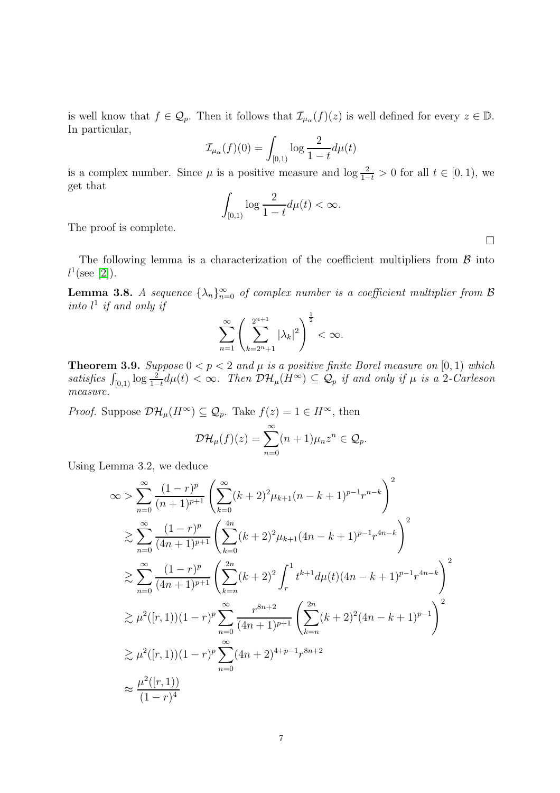is well know that  $f \in \mathcal{Q}_p$ . Then it follows that  $\mathcal{I}_{\mu_\alpha}(f)(z)$  is well defined for every  $z \in \mathbb{D}$ . In particular,

$$
\mathcal{I}_{\mu_{\alpha}}(f)(0) = \int_{[0,1)} \log \frac{2}{1-t} d\mu(t)
$$

is a complex number. Since  $\mu$  is a positive measure and  $\log \frac{2}{1-t} > 0$  for all  $t \in [0,1)$ , we get that

$$
\int_{[0,1)} \log \frac{2}{1-t} d\mu(t) < \infty.
$$

The proof is complete.

The following lemma is a characterization of the coefficient multipliers from  $\beta$  into  $l^1(\text{see } [2]).$  $l^1(\text{see } [2]).$  $l^1(\text{see } [2]).$ 

**Lemma 3.8.** A sequence  $\{\lambda_n\}_{n=0}^{\infty}$  of complex number is a coefficient multiplier from  $\beta$ into  $l^1$  if and only if

$$
\sum_{n=1}^{\infty} \left( \sum_{k=2^n+1}^{2^{n+1}} |\lambda_k|^2 \right)^{\frac{1}{2}} < \infty.
$$

**Theorem 3.9.** Suppose  $0 < p < 2$  and  $\mu$  is a positive finite Borel measure on [0, 1) which satisfies  $\int_{[0,1)} \log \frac{2}{1-t} d\mu(t) < \infty$ . Then  $\mathcal{DH}_\mu(H^\infty) \subseteq \mathcal{Q}_p$  if and only if  $\mu$  is a 2-Carleson measure.

*Proof.* Suppose  $\mathcal{DH}_\mu(H^\infty) \subseteq \mathcal{Q}_p$ . Take  $f(z) = 1 \in H^\infty$ , then

$$
\mathcal{DH}_{\mu}(f)(z) = \sum_{n=0}^{\infty} (n+1)\mu_n z^n \in \mathcal{Q}_p.
$$

Using Lemma 3.2, we deduce

$$
\infty > \sum_{n=0}^{\infty} \frac{(1-r)^p}{(n+1)^{p+1}} \left( \sum_{k=0}^{\infty} (k+2)^2 \mu_{k+1} (n-k+1)^{p-1} r^{n-k} \right)^2
$$
  
\n
$$
\geq \sum_{n=0}^{\infty} \frac{(1-r)^p}{(4n+1)^{p+1}} \left( \sum_{k=0}^{4n} (k+2)^2 \mu_{k+1} (4n-k+1)^{p-1} r^{4n-k} \right)^2
$$
  
\n
$$
\geq \sum_{n=0}^{\infty} \frac{(1-r)^p}{(4n+1)^{p+1}} \left( \sum_{k=n}^{2n} (k+2)^2 \int_r^1 t^{k+1} d\mu(t) (4n-k+1)^{p-1} r^{4n-k} \right)^2
$$
  
\n
$$
\geq \mu^2([r,1))(1-r)^p \sum_{n=0}^{\infty} \frac{r^{8n+2}}{(4n+1)^{p+1}} \left( \sum_{k=n}^{2n} (k+2)^2 (4n-k+1)^{p-1} \right)^2
$$
  
\n
$$
\geq \mu^2([r,1))(1-r)^p \sum_{n=0}^{\infty} (4n+2)^{4+p-1} r^{8n+2}
$$
  
\n
$$
\approx \frac{\mu^2([r,1))}{(1-r)^4}
$$

 $\Box$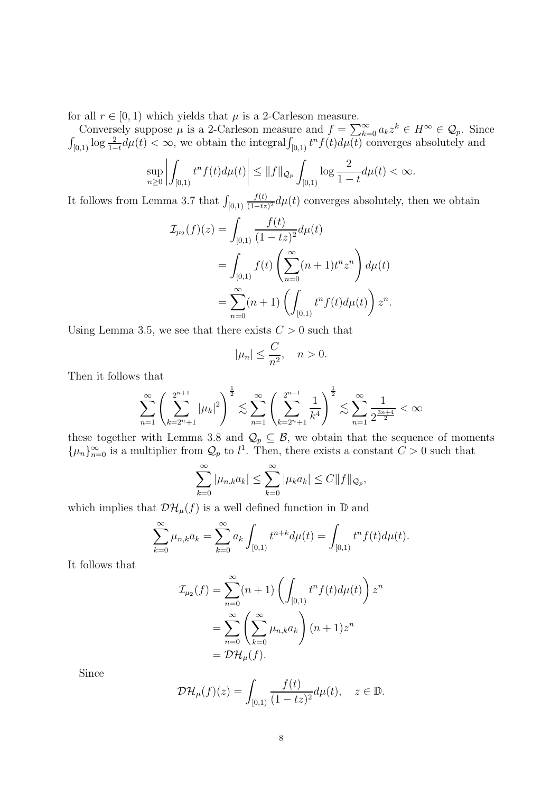for all  $r \in [0, 1)$  which yields that  $\mu$  is a 2-Carleson measure.

Conversely suppose  $\mu$  is a 2-Carleson measure and  $f = \sum_{k=0}^{\infty} a_k z^k \in H^{\infty} \in \mathcal{Q}_p$ . Since  $\int_{[0,1)} \log \frac{2}{1-t} d\mu(t) < \infty$ , we obtain the integral  $\int_{[0,1)} t^n f(t) d\mu(t)$  converges absolutely and

$$
\sup_{n\geq 0} \left| \int_{[0,1)} t^n f(t) d\mu(t) \right| \leq ||f||_{\mathcal{Q}_p} \int_{[0,1)} \log \frac{2}{1-t} d\mu(t) < \infty.
$$

It follows from Lemma 3.7 that  $\int_{[0,1)}$  $f(t)$  $\frac{J(t)}{(1-tz)^2}d\mu(t)$  converges absolutely, then we obtain

$$
\mathcal{I}_{\mu_2}(f)(z) = \int_{[0,1)} \frac{f(t)}{(1-tz)^2} d\mu(t)
$$
  
= 
$$
\int_{[0,1)} f(t) \left( \sum_{n=0}^{\infty} (n+1) t^n z^n \right) d\mu(t)
$$
  
= 
$$
\sum_{n=0}^{\infty} (n+1) \left( \int_{[0,1)} t^n f(t) d\mu(t) \right) z^n.
$$

Using Lemma 3.5, we see that there exists  $C > 0$  such that

$$
|\mu_n| \le \frac{C}{n^2}, \quad n > 0.
$$

Then it follows that

$$
\sum_{n=1}^{\infty} \left( \sum_{k=2^{n}+1}^{2^{n+1}} |\mu_k|^2 \right)^{\frac{1}{2}} \lesssim \sum_{n=1}^{\infty} \left( \sum_{k=2^{n}+1}^{2^{n+1}} \frac{1}{k^4} \right)^{\frac{1}{2}} \lesssim \sum_{n=1}^{\infty} \frac{1}{2^{\frac{3n+4}{2}}} < \infty
$$

these together with Lemma 3.8 and  $\mathcal{Q}_p \subseteq \mathcal{B}$ , we obtain that the sequence of moments  $\{\mu_n\}_{n=0}^{\infty}$  is a multiplier from  $\mathcal{Q}_p$  to  $l^1$ . Then, there exists a constant  $C > 0$  such that

$$
\sum_{k=0}^{\infty} |\mu_{n,k} a_k| \leq \sum_{k=0}^{\infty} |\mu_k a_k| \leq C ||f||_{\mathcal{Q}_p},
$$

which implies that  $\mathcal{DH}_\mu(f)$  is a well defined function in  $\mathbb D$  and

$$
\sum_{k=0}^{\infty} \mu_{n,k} a_k = \sum_{k=0}^{\infty} a_k \int_{[0,1)} t^{n+k} d\mu(t) = \int_{[0,1)} t^n f(t) d\mu(t).
$$

It follows that

$$
\mathcal{I}_{\mu_2}(f) = \sum_{n=0}^{\infty} (n+1) \left( \int_{[0,1)} t^n f(t) d\mu(t) \right) z^n
$$

$$
= \sum_{n=0}^{\infty} \left( \sum_{k=0}^{\infty} \mu_{n,k} a_k \right) (n+1) z^n
$$

$$
= \mathcal{D} \mathcal{H}_{\mu}(f).
$$

Since

$$
\mathcal{DH}_{\mu}(f)(z) = \int_{[0,1)} \frac{f(t)}{(1-tz)^2} d\mu(t), \quad z \in \mathbb{D}.
$$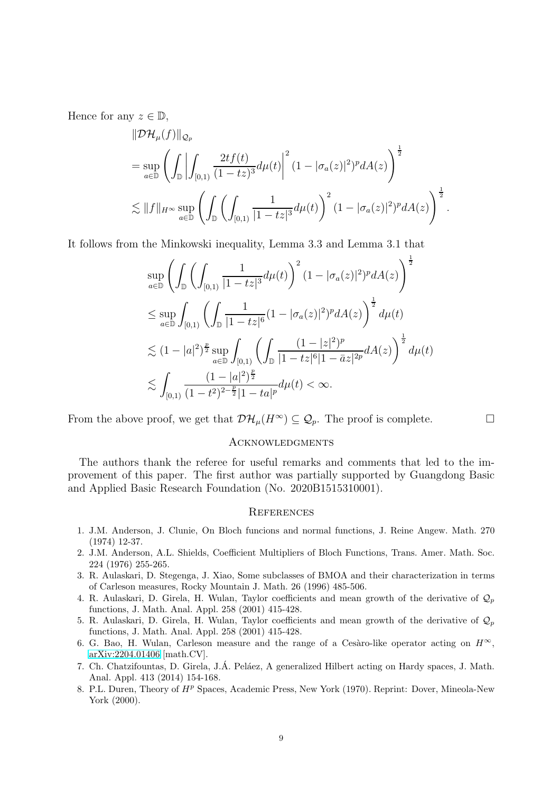Hence for any  $z \in \mathbb{D}$ ,

$$
\|\mathcal{D}\mathcal{H}_{\mu}(f)\|_{\mathcal{Q}_{p}}\n= \sup_{a\in\mathbb{D}}\left(\int_{\mathbb{D}}\left|\int_{[0,1)}\frac{2tf(t)}{(1-tz)^{3}}d\mu(t)\right|^{2}(1-|\sigma_{a}(z)|^{2})^{p}dA(z)\right)^{\frac{1}{2}}\n\lesssim \|f\|_{H^{\infty}}\sup_{a\in\mathbb{D}}\left(\int_{\mathbb{D}}\left(\int_{[0,1)}\frac{1}{|1-tz|^{3}}d\mu(t)\right)^{2}(1-|\sigma_{a}(z)|^{2})^{p}dA(z)\right)^{\frac{1}{2}}.
$$

It follows from the Minkowski inequality, Lemma 3.3 and Lemma 3.1 that

$$
\sup_{a\in\mathbb{D}}\left(\int_{\mathbb{D}}\left(\int_{[0,1)}\frac{1}{|1-tz|^3}d\mu(t)\right)^2(1-|\sigma_a(z)|^2)^p dA(z)\right)^{\frac{1}{2}}
$$
\n
$$
\leq \sup_{a\in\mathbb{D}}\int_{[0,1)}\left(\int_{\mathbb{D}}\frac{1}{|1-tz|^6}(1-|\sigma_a(z)|^2)^p dA(z)\right)^{\frac{1}{2}}d\mu(t)
$$
\n
$$
\lesssim (1-|a|^2)^{\frac{p}{2}}\sup_{a\in\mathbb{D}}\int_{[0,1)}\left(\int_{\mathbb{D}}\frac{(1-|z|^2)^p}{|1-tz|^6|1-\bar{a}z|^{2p}}dA(z)\right)^{\frac{1}{2}}d\mu(t)
$$
\n
$$
\lesssim \int_{[0,1)}\frac{(1-|a|^2)^{\frac{p}{2}}}{(1-t^2)^{2-\frac{p}{2}}|1-ta|^p}d\mu(t) < \infty.
$$

From the above proof, we get that  $\mathcal{DH}_\mu(H^{\infty}) \subseteq \mathcal{Q}_p$ . The proof is complete.

### **ACKNOWLEDGMENTS**

The authors thank the referee for useful remarks and comments that led to the improvement of this paper. The first author was partially supported by Guangdong Basic and Applied Basic Research Foundation (No. 2020B1515310001).

### **REFERENCES**

- <span id="page-8-3"></span>1. J.M. Anderson, J. Clunie, On Bloch funcions and normal functions, J. Reine Angew. Math. 270 (1974) 12-37.
- <span id="page-8-6"></span>2. J.M. Anderson, A.L. Shields, Coefficient Multipliers of Bloch Functions, Trans. Amer. Math. Soc. 224 (1976) 255-265.
- 3. R. Aulaskari, D. Stegenga, J. Xiao, Some subclasses of BMOA and their characterization in terms of Carleson measures, Rocky Mountain J. Math. 26 (1996) 485-506.
- <span id="page-8-4"></span>4. R. Aulaskari, D. Girela, H. Wulan, Taylor coefficients and mean growth of the derivative of  $\mathcal{Q}_p$ functions, J. Math. Anal. Appl. 258 (2001) 415-428.
- <span id="page-8-5"></span>5. R. Aulaskari, D. Girela, H. Wulan, Taylor coefficients and mean growth of the derivative of  $\mathcal{Q}_p$ functions, J. Math. Anal. Appl. 258 (2001) 415-428.
- <span id="page-8-1"></span>6. G. Bao, H. Wulan, Carleson measure and the range of a Cesàro-like operator acting on  $H^{\infty}$ , [arXiv:2204.01406](http://arxiv.org/abs/2204.01406) [math.CV].
- <span id="page-8-0"></span>7. Ch. Chatzifountas, D. Girela, J.Á. Peláez, A generalized Hilbert acting on Hardy spaces, J. Math. Anal. Appl. 413 (2014) 154-168.
- <span id="page-8-2"></span>8. P.L. Duren, Theory of  $H<sup>p</sup>$  Spaces, Academic Press, New York (1970). Reprint: Dover, Mineola-New York (2000).